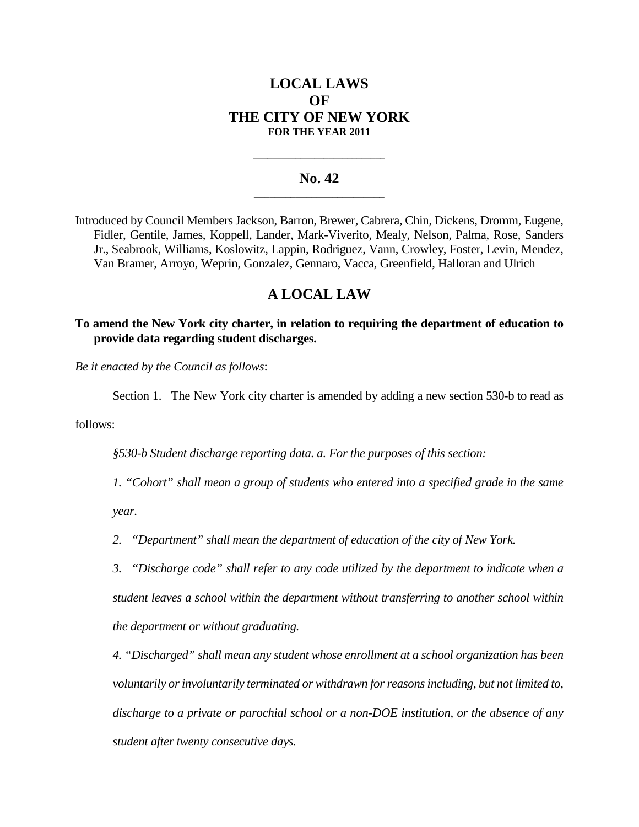# **LOCAL LAWS OF THE CITY OF NEW YORK FOR THE YEAR 2011**

## **No. 42 \_\_\_\_\_\_\_\_\_\_\_\_\_\_\_\_\_\_\_\_\_\_\_\_\_**

**\_\_\_\_\_\_\_\_\_\_\_\_\_\_\_\_\_\_\_\_\_\_\_\_\_\_\_\_**

Introduced by Council Members Jackson, Barron, Brewer, Cabrera, Chin, Dickens, Dromm, Eugene, Fidler, Gentile, James, Koppell, Lander, Mark-Viverito, Mealy, Nelson, Palma, Rose, Sanders Jr., Seabrook, Williams, Koslowitz, Lappin, Rodriguez, Vann, Crowley, Foster, Levin, Mendez, Van Bramer, Arroyo, Weprin, Gonzalez, Gennaro, Vacca, Greenfield, Halloran and Ulrich

# **A LOCAL LAW**

**To amend the New York city charter, in relation to requiring the department of education to provide data regarding student discharges.**

*Be it enacted by the Council as follows*:

Section 1. The New York city charter is amended by adding a new section 530-b to read as

follows:

*§530-b Student discharge reporting data. a. For the purposes of this section:*

*1. "Cohort" shall mean a group of students who entered into a specified grade in the same*

*year.*

*2. "Department" shall mean the department of education of the city of New York.*

*3. "Discharge code" shall refer to any code utilized by the department to indicate when a student leaves a school within the department without transferring to another school within the department or without graduating.*

*4. "Discharged" shall mean any student whose enrollment at a school organization has been voluntarily or involuntarily terminated or withdrawn for reasons including, but not limited to, discharge to a private or parochial school or a non-DOE institution, or the absence of any student after twenty consecutive days.*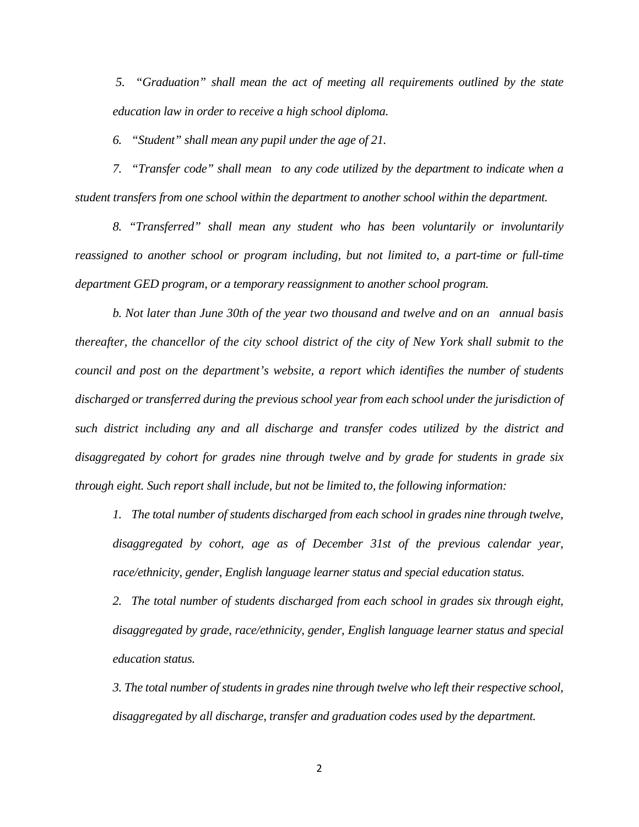*5. "Graduation" shall mean the act of meeting all requirements outlined by the state education law in order to receive a high school diploma.*

*6. "Student" shall mean any pupil under the age of 21.*

*7. "Transfer code" shall mean to any code utilized by the department to indicate when a student transfers from one school within the department to another school within the department.*

*8. "Transferred" shall mean any student who has been voluntarily or involuntarily reassigned to another school or program including, but not limited to, a part-time or full-time department GED program, or a temporary reassignment to another school program.*

*b. Not later than June 30th of the year two thousand and twelve and on an annual basis thereafter, the chancellor of the city school district of the city of New York shall submit to the council and post on the department's website, a report which identifies the number of students discharged or transferred during the previous school year from each school under the jurisdiction of such district including any and all discharge and transfer codes utilized by the district and disaggregated by cohort for grades nine through twelve and by grade for students in grade six through eight. Such report shall include, but not be limited to, the following information:*

*1. The total number of students discharged from each school in grades nine through twelve, disaggregated by cohort, age as of December 31st of the previous calendar year, race/ethnicity, gender, English language learner status and special education status.*

*2. The total number of students discharged from each school in grades six through eight, disaggregated by grade, race/ethnicity, gender, English language learner status and special education status.*

*3. The total number of students in grades nine through twelve who left their respective school, disaggregated by all discharge, transfer and graduation codes used by the department.*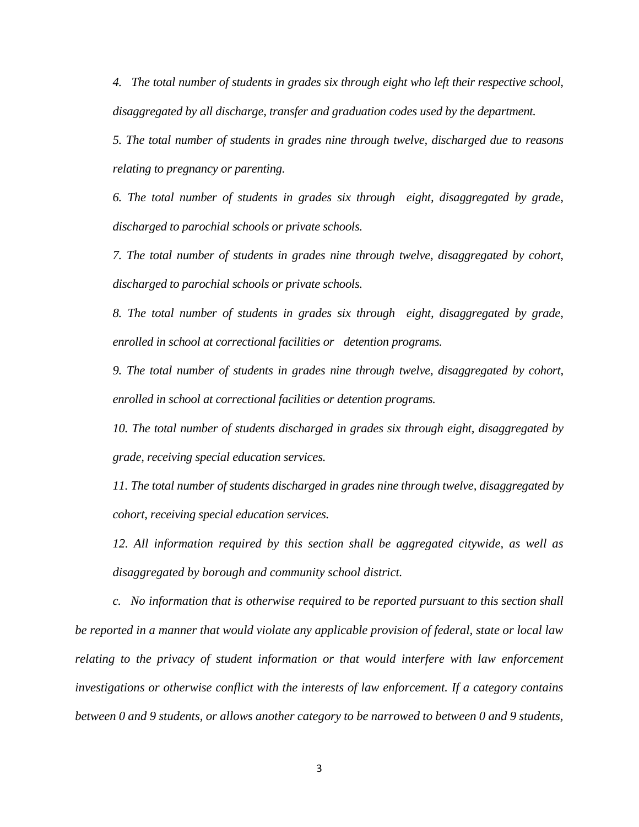*4. The total number of students in grades six through eight who left their respective school, disaggregated by all discharge, transfer and graduation codes used by the department.*

*5. The total number of students in grades nine through twelve, discharged due to reasons relating to pregnancy or parenting.*

*6. The total number of students in grades six through eight, disaggregated by grade, discharged to parochial schools or private schools.*

*7. The total number of students in grades nine through twelve, disaggregated by cohort, discharged to parochial schools or private schools.*

*8. The total number of students in grades six through eight, disaggregated by grade, enrolled in school at correctional facilities or detention programs.*

*9. The total number of students in grades nine through twelve, disaggregated by cohort, enrolled in school at correctional facilities or detention programs.*

*10. The total number of students discharged in grades six through eight, disaggregated by grade, receiving special education services.*

*11. The total number of students discharged in grades nine through twelve, disaggregated by cohort, receiving special education services.*

*12. All information required by this section shall be aggregated citywide, as well as disaggregated by borough and community school district.*

*c. No information that is otherwise required to be reported pursuant to this section shall be reported in a manner that would violate any applicable provision of federal, state or local law relating to the privacy of student information or that would interfere with law enforcement investigations or otherwise conflict with the interests of law enforcement. If a category contains between 0 and 9 students, or allows another category to be narrowed to between 0 and 9 students,*